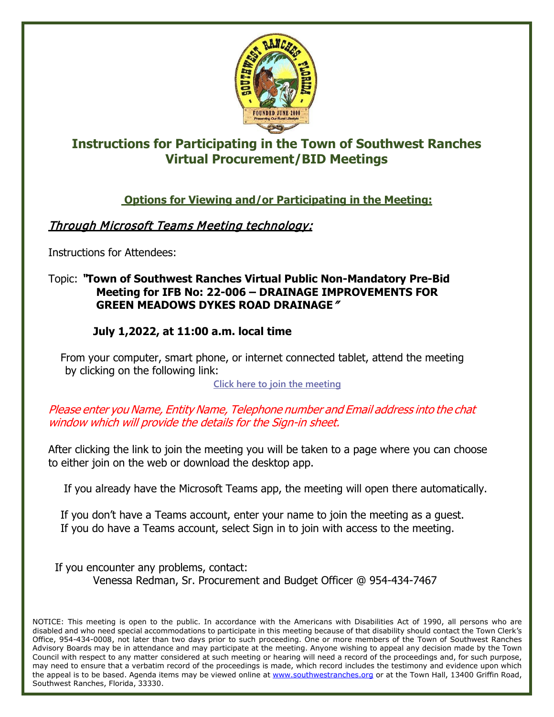

## **Instructions for Participating in the Town of Southwest Ranches Virtual Procurement/BID Meetings**

**Options for Viewing and/or Participating in the Meeting:**

## Through Microsoft Teams Meeting technology:

Instructions for Attendees:

## Topic: "**Town of Southwest Ranches Virtual Public Non-Mandatory Pre-Bid Meeting for IFB No: 22-006 – DRAINAGE IMPROVEMENTS FOR GREEN MEADOWS DYKES ROAD DRAINAGE**"

## **July 1,2022, at 11:00 a.m. local time**

From your computer, smart phone, or internet connected tablet, attend the meeting by clicking on the following link:

**[Click here to join the meeting](https://teams.microsoft.com/l/meetup-join/19%3ameeting_YzMwY2UzMDEtNmU3OS00MDcxLWJhMzEtZWI4YTFmMjJiY2Nk%40thread.v2/0?context=%7b%22Tid%22%3a%222533e97d-484c-40a5-af18-d64b2797e405%22%2c%22Oid%22%3a%22623fb5cb-75c8-473a-a45f-dd75443fbd85%22%7d)**

Please enter you Name, Entity Name, Telephone number and Email address into the chat window which will provide the details for the Sign-in sheet.

After clicking the link to join the meeting you will be taken to a page where you can choose to either join on the web or download the desktop app.

If you already have the Microsoft Teams app, the meeting will open there automatically.

If you don't have a Teams account, enter your name to join the meeting as a guest. If you do have a Teams account, select Sign in to join with access to the meeting.

If you encounter any problems, contact: Venessa Redman, Sr. Procurement and Budget Officer @ 954-434-7467

NOTICE: This meeting is open to the public. In accordance with the Americans with Disabilities Act of 1990, all persons who are disabled and who need special accommodations to participate in this meeting because of that disability should contact the Town Clerk's Office, 954-434-0008, not later than two days prior to such proceeding. One or more members of the Town of Southwest Ranches Advisory Boards may be in attendance and may participate at the meeting. Anyone wishing to appeal any decision made by the Town Council with respect to any matter considered at such meeting or hearing will need a record of the proceedings and, for such purpose, may need to ensure that a verbatim record of the proceedings is made, which record includes the testimony and evidence upon which the appeal is to be based. Agenda items may be viewed online at [www.southwestranches.org](http://www.southwestranches.org/) or at the Town Hall, 13400 Griffin Road, Southwest Ranches, Florida, 33330.